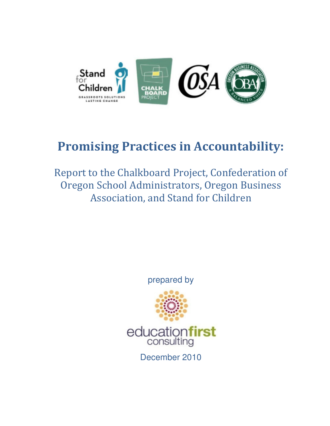

# Promising Practices in Accountability:

Report to the Chalkboard Project, Confederation of Oregon School Administrators, Oregon Business Association, and Stand for Children

prepared by



December 2010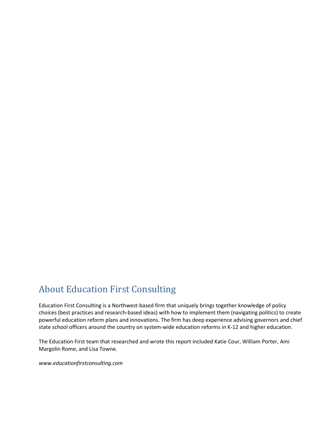### About Education First Consulting

Education First Consulting is a Northwest-based firm that uniquely brings together knowledge of policy choices (best practices and research-based ideas) with how to implement them (navigating politics) to create powerful education reform plans and innovations. The firm has deep experience advising governors and chief state school officers around the country on system-wide education reforms in K-12 and higher education.

The Education First team that researched and wrote this report included Katie Cour, William Porter, Ami Margolin Rome, and Lisa Towne.

www.educationfirstconsulting.com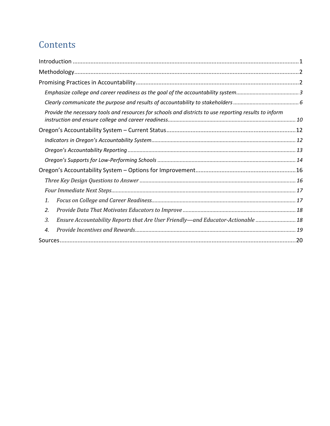## **Contents**

|    | Provide the necessary tools and resources for schools and districts to use reporting results to inform |  |
|----|--------------------------------------------------------------------------------------------------------|--|
|    |                                                                                                        |  |
|    |                                                                                                        |  |
|    |                                                                                                        |  |
|    |                                                                                                        |  |
|    |                                                                                                        |  |
|    |                                                                                                        |  |
|    |                                                                                                        |  |
| 1. |                                                                                                        |  |
| 2. |                                                                                                        |  |
| 3. | Ensure Accountability Reports that Are User Friendly—and Educator-Actionable  18                       |  |
| 4. |                                                                                                        |  |
|    |                                                                                                        |  |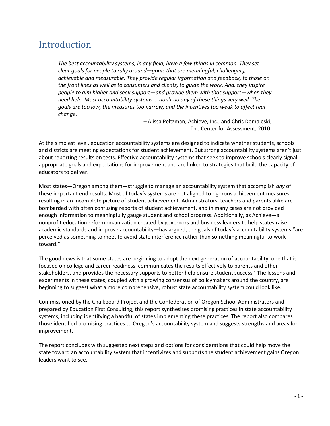## Introduction

The best accountability systems, in any field, have a few things in common. They set clear goals for people to rally around—goals that are meaningful, challenging, achievable and measurable. They provide regular information and feedback, to those on the front lines as well as to consumers and clients, to guide the work. And, they inspire people to aim higher and seek support—and provide them with that support—when they need help. Most accountability systems … don't do any of these things very well. The goals are too low, the measures too narrow, and the incentives too weak to affect real change.

> – Alissa Peltzman, Achieve, Inc., and Chris Domaleski, The Center for Assessment, 2010.

At the simplest level, education accountability systems are designed to indicate whether students, schools and districts are meeting expectations for student achievement. But strong accountability systems aren't just about reporting results on tests. Effective accountability systems that seek to improve schools clearly signal appropriate goals and expectations for improvement and are linked to strategies that build the capacity of educators to deliver.

Most states—Oregon among them—struggle to manage an accountability system that accomplish any of these important end results. Most of today's systems are not aligned to rigorous achievement measures, resulting in an incomplete picture of student achievement. Administrators, teachers and parents alike are bombarded with often confusing reports of student achievement, and in many cases are not provided enough information to meaningfully gauge student and school progress. Additionally, as Achieve—a nonprofit education reform organization created by governors and business leaders to help states raise academic standards and improve accountability—has argued, the goals of today's accountability systems "are perceived as something to meet to avoid state interference rather than something meaningful to work toward."<sup>1</sup>

The good news is that some states are beginning to adopt the next generation of accountability, one that is focused on college and career readiness, communicates the results effectively to parents and other stakeholders, and provides the necessary supports to better help ensure student success.<sup>2</sup> The lessons and experiments in these states, coupled with a growing consensus of policymakers around the country, are beginning to suggest what a more comprehensive, robust state accountability system could look like.

Commissioned by the Chalkboard Project and the Confederation of Oregon School Administrators and prepared by Education First Consulting, this report synthesizes promising practices in state accountability systems, including identifying a handful of states implementing these practices. The report also compares those identified promising practices to Oregon's accountability system and suggests strengths and areas for improvement.

The report concludes with suggested next steps and options for considerations that could help move the state toward an accountability system that incentivizes and supports the student achievement gains Oregon leaders want to see.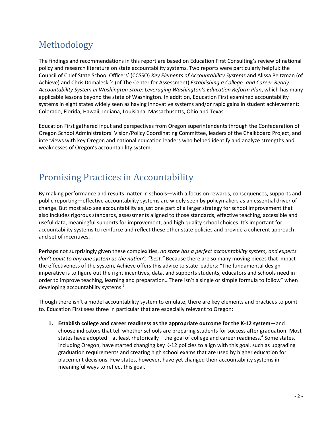## Methodology

The findings and recommendations in this report are based on Education First Consulting's review of national policy and research literature on state accountability systems. Two reports were particularly helpful: the Council of Chief State School Officers' (CCSSO) Key Elements of Accountability Systems and Alissa Peltzman (of Achieve) and Chris Domaleski's (of The Center for Assessment) Establishing a College- and Career-Ready Accountability System in Washington State: Leveraging Washington's Education Reform Plan, which has many applicable lessons beyond the state of Washington. In addition, Education First examined accountability systems in eight states widely seen as having innovative systems and/or rapid gains in student achievement: Colorado, Florida, Hawaii, Indiana, Louisiana, Massachusetts, Ohio and Texas.

Education First gathered input and perspectives from Oregon superintendents through the Confederation of Oregon School Administrators' Vision/Policy Coordinating Committee, leaders of the Chalkboard Project, and interviews with key Oregon and national education leaders who helped identify and analyze strengths and weaknesses of Oregon's accountability system.

## Promising Practices in Accountability

By making performance and results matter in schools—with a focus on rewards, consequences, supports and public reporting—effective accountability systems are widely seen by policymakers as an essential driver of change. But most also see accountability as just one part of a larger strategy for school improvement that also includes rigorous standards, assessments aligned to those standards, effective teaching, accessible and useful data, meaningful supports for improvement, and high quality school choices. It's important for accountability systems to reinforce and reflect these other state policies and provide a coherent approach and set of incentives.

Perhaps not surprisingly given these complexities, no state has a perfect accountability system, and experts don't point to any one system as the nation's "best." Because there are so many moving pieces that impact the effectiveness of the system, Achieve offers this advice to state leaders: "The fundamental design imperative is to figure out the right incentives, data, and supports students, educators and schools need in order to improve teaching, learning and preparation…There isn't a single or simple formula to follow" when developing accountability systems. $3$ 

Though there isn't a model accountability system to emulate, there are key elements and practices to point to. Education First sees three in particular that are especially relevant to Oregon:

1. Establish college and career readiness as the appropriate outcome for the K-12 system—and choose indicators that tell whether schools are preparing students for success after graduation. Most states have adopted—at least rhetorically—the goal of college and career readiness.<sup>4</sup> Some states, including Oregon, have started changing key K-12 policies to align with this goal, such as upgrading graduation requirements and creating high school exams that are used by higher education for placement decisions. Few states, however, have yet changed their accountability systems in meaningful ways to reflect this goal.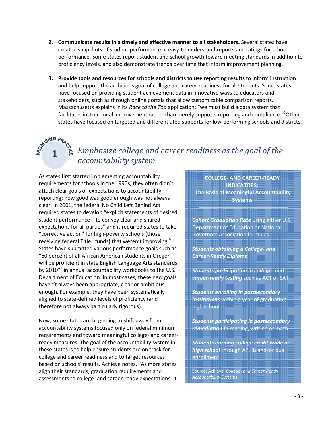- 2. Communicate results in a timely and effective manner to all stakeholders. Several states have created snapshots of student performance in easy-to-understand reports and ratings for school performance. Some states report student and school growth toward meeting standards in addition to proficiency levels, and also demonstrate trends over time that inform improvement planning.
- 3. Provide tools and resources for schools and districts to use reporting results to inform instruction and help support the ambitious goal of college and career readiness for all students. Some states have focused on providing student achievement data in innovative ways to educators and stakeholders, such as through online portals that allow customizable comparison reports. Massachusetts explains in its Race to the Top application: "we must build a data system that facilitates instructional improvement rather than merely supports reporting and compliance."<sup>5</sup>Other states have focused on targeted and differentiated supports for low-performing schools and districts.

## **1**  $\hat{a}$  Emphasize college and career readiness as the goal of the accountability system

As states first started implementing accountability requirements for schools in the 1990s, they often didn't attach clear goals or expectations to accountability reporting; how good was good enough was not always clear. In 2001, the federal No Child Left Behind Act required states to develop "explicit statements of desired student performance – to convey clear and shared expectations for all parties" and it required states to take "corrective action" for high-poverty schools (those receiving federal Title I funds) that weren't improving.<sup>6</sup> States have submitted various performance goals such as "60 percent of all African American students in Oregon will be proficient in state English Language Arts standards by 2010 $^{\prime\prime}$  in annual accountability workbooks to the U.S. Department of Education. In most cases, these new goals haven't always been appropriate, clear or ambitious enough. For example, they have been systematically aligned to state-defined levels of proficiency (and therefore not always particularly rigorous).

Now, some states are beginning to shift away from accountability systems focused only on federal minimum requirements and toward meaningful college- and careerready measures. The goal of the accountability system in these states is to help ensure students are on track for college and career readiness and to target resources based on schools' results. Achieve notes, "As more states align their standards, graduation requirements and assessments to college- and career-ready expectations, it

COLLEGE- AND CAREER-READY INDICATORS: The Basis of Meaningful Accountability **Systems** 

Cohort Graduation Rate using either U.S. Department of Education or National Governors Association formulas

Students obtaining a College- and Career-Ready Diploma

Students participating in college- and career-ready testing such as ACT or SAT

Students enrolling in postsecondary institutions within a year of graduating high school

Students participating in postsecondary remediation in reading, writing or math

Students earning college credit while in high school through AP, IB and/or dual enrollment

Source: Achieve, College- and Career-Ready Accountability Systems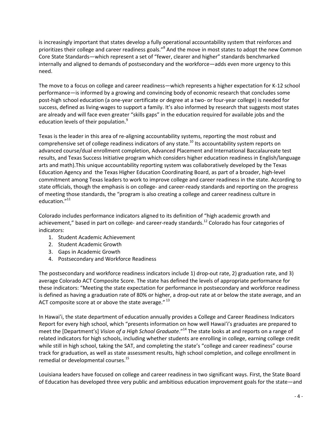is increasingly important that states develop a fully operational accountability system that reinforces and prioritizes their college and career readiness goals."<sup>8</sup> And the move in most states to adopt the new Common Core State Standards—which represent a set of "fewer, clearer and higher" standards benchmarked internally and aligned to demands of postsecondary and the workforce—adds even more urgency to this need.

The move to a focus on college and career readiness—which represents a higher expectation for K-12 school performance—is informed by a growing and convincing body of economic research that concludes some post-high school education (a one-year certificate or degree at a two- or four-year college) is needed for success, defined as living-wages to support a family. It's also informed by research that suggests most states are already and will face even greater "skills gaps" in the education required for available jobs and the education levels of their population.<sup>9</sup>

Texas is the leader in this area of re-aligning accountability systems, reporting the most robust and comprehensive set of college readiness indicators of any state.<sup>10</sup> Its accountability system reports on advanced course/dual enrollment completion, Advanced Placement and International Baccalaureate test results, and Texas Success Initiative program which considers higher education readiness in English/language arts and math).This unique accountability reporting system was collaboratively developed by the Texas Education Agency and the Texas Higher Education Coordinating Board, as part of a broader, high-level commitment among Texas leaders to work to improve college and career readiness in the state. According to state officials, though the emphasis is on college- and career-ready standards and reporting on the progress of meeting those standards, the "program is also creating a college and career readiness culture in education."<sup>11</sup>

Colorado includes performance indicators aligned to its definition of "high academic growth and achievement," based in part on college- and career-ready standards.<sup>12</sup> Colorado has four categories of indicators:

- 1. Student Academic Achievement
- 2. Student Academic Growth
- 3. Gaps in Academic Growth
- 4. Postsecondary and Workforce Readiness

The postsecondary and workforce readiness indicators include 1) drop-out rate, 2) graduation rate, and 3) average Colorado ACT Composite Score. The state has defined the levels of appropriate performance for these indicators: "Meeting the state expectation for performance in postsecondary and workforce readiness is defined as having a graduation rate of 80% or higher, a drop-out rate at or below the state average, and an ACT composite score at or above the state average. $^{\prime\prime}$ <sup>13</sup>

In Hawai'i, the state department of education annually provides a College and Career Readiness Indicators Report for every high school, which "presents information on how well Hawai'i's graduates are prepared to meet the [Department's] Vision of a High School Graduate."<sup>14</sup> The state looks at and reports on a range of related indicators for high schools, including whether students are enrolling in college, earning college credit while still in high school, taking the SAT, and completing the state's "college and career readiness" course track for graduation, as well as state assessment results, high school completion, and college enrollment in remedial or developmental courses.<sup>15</sup>

Louisiana leaders have focused on college and career readiness in two significant ways. First, the State Board of Education has developed three very public and ambitious education improvement goals for the state—and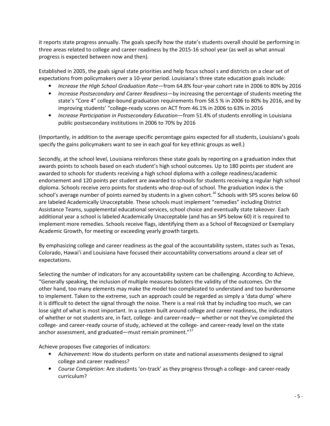it reports state progress annually. The goals specify how the state's students overall should be performing in three areas related to college and career readiness by the 2015-16 school year (as well as what annual progress is expected between now and then).

Established in 2005, the goals signal state priorities and help focus school s and districts on a clear set of expectations from policymakers over a 10-year period. Louisiana's three state education goals include:

- Increase the High School Graduation Rate—from 64.8% four-year cohort rate in 2006 to 80% by 2016
- Increase Postsecondary and Career Readiness—by increasing the percentage of students meeting the state's "Core 4" college-bound graduation requirements from 58.5 % in 2006 to 80% by 2016, and by improving students' "college-ready scores on ACT from 46.1% in 2006 to 63% in 2016
- Increase Participation in Postsecondary Education—from 51.4% of students enrolling in Louisiana public postsecondary institutions in 2006 to 70% by 2016

(Importantly, in addition to the average specific percentage gains expected for all students, Louisiana's goals specify the gains policymakers want to see in each goal for key ethnic groups as well.)

Secondly, at the school level, Louisiana reinforces these state goals by reporting on a graduation index that awards points to schools based on each student's high school outcomes. Up to 180 points per student are awarded to schools for students receiving a high school diploma with a college readiness/academic endorsement and 120 points per student are awarded to schools for students receiving a regular high school diploma. Schools receive zero points for students who drop-out of school. The graduation index is the school's average number of points earned by students in a given cohort.<sup>16</sup> Schools with SPS scores below 60 are labeled Academically Unacceptable. These schools must implement "remedies" including District Assistance Teams, supplemental educational services, school choice and eventually state takeover. Each additional year a school is labeled Academically Unacceptable (and has an SPS below 60) it is required to implement more remedies. Schools receive flags, identifying them as a School of Recognized or Exemplary Academic Growth, for meeting or exceeding yearly growth targets.

By emphasizing college and career readiness as the goal of the accountability system, states such as Texas, Colorado, Hawai'i and Louisiana have focused their accountability conversations around a clear set of expectations.

Selecting the number of indicators for any accountability system can be challenging. According to Achieve, "Generally speaking, the inclusion of multiple measures bolsters the validity of the outcomes. On the other hand, too many elements may make the model too complicated to understand and too burdensome to implement. Taken to the extreme, such an approach could be regarded as simply a 'data dump' where it is difficult to detect the signal through the noise. There is a real risk that by including too much, we can lose sight of what is most important. In a system built around college and career readiness, the indicators of whether or not students are, in fact, college- and career-ready— whether or not they've completed the college- and career-ready course of study, achieved at the college- and career-ready level on the state anchor assessment, and graduated—must remain prominent." $^{17}$ 

Achieve proposes five categories of indicators:

- Achievement: How do students perform on state and national assessments designed to signal college and career readiness?
- Course Completion: Are students 'on-track' as they progress through a college- and career-ready curriculum?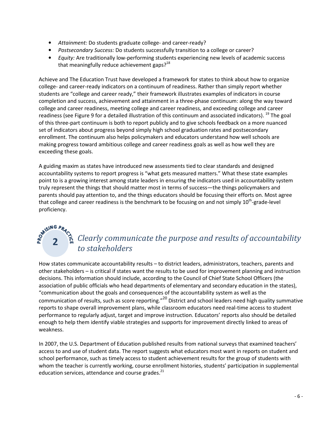- Attainment: Do students graduate college- and career-ready?
- Postsecondary Success: Do students successfully transition to a college or career?
- Equity: Are traditionally low-performing students experiencing new levels of academic success that meaningfully reduce achievement gaps? $18$

Achieve and The Education Trust have developed a framework for states to think about how to organize college- and career-ready indicators on a continuum of readiness. Rather than simply report whether students are "college and career ready," their framework illustrates examples of indicators in course completion and success, achievement and attainment in a three-phase continuum: along the way toward college and career readiness, meeting college and career readiness, and exceeding college and career readiness (see Figure 9 for a detailed illustration of this continuum and associated indicators). <sup>19</sup> The goal of this three-part continuum is both to report publicly and to give schools feedback on a more nuanced set of indicators about progress beyond simply high school graduation rates and postsecondary enrollment. The continuum also helps policymakers and educators understand how well schools are making progress toward ambitious college and career readiness goals as well as how well they are exceeding these goals.

A guiding maxim as states have introduced new assessments tied to clear standards and designed accountability systems to report progress is "what gets measured matters." What these state examples point to is a growing interest among state leaders in ensuring the indicators used in accountability system truly represent the things that should matter most in terms of success—the things policymakers and parents should pay attention to, and the things educators should be focusing their efforts on. Most agree that college and career readiness is the benchmark to be focusing on and not simply  $10^{th}$ -grade-level proficiency.

### 2 a Clearly communicate the purpose and results of accountability to stakeholders

How states communicate accountability results – to district leaders, administrators, teachers, parents and other stakeholders – is critical if states want the results to be used for improvement planning and instruction decisions. This information should include, according to the Council of Chief State School Officers (the association of public officials who head departments of elementary and secondary education in the states), "communication about the goals and consequences of the accountability system as well as the communication of results, such as score reporting."20 District and school leaders need high quality summative reports to shape overall improvement plans, while classroom educators need real-time access to student performance to regularly adjust, target and improve instruction. Educators' reports also should be detailed enough to help them identify viable strategies and supports for improvement directly linked to areas of weakness.

In 2007, the U.S. Department of Education published results from national surveys that examined teachers' access to and use of student data. The report suggests what educators most want in reports on student and school performance, such as timely access to student achievement results for the group of students with whom the teacher is currently working, course enrollment histories, students' participation in supplemental education services, attendance and course grades. $^{21}$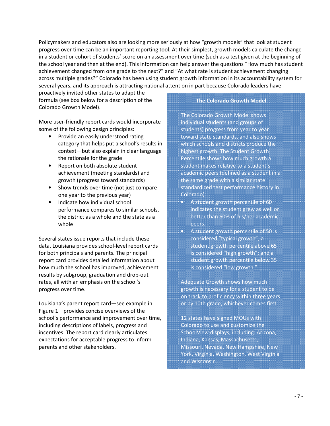Policymakers and educators also are looking more seriously at how "growth models" that look at student progress over time can be an important reporting tool. At their simplest, growth models calculate the change in a student or cohort of students' score on an assessment over time (such as a test given at the beginning of the school year and then at the end). This information can help answer the questions "How much has student achievement changed from one grade to the next?" and "At what rate is student achievement changing across multiple grades?" Colorado has been using student growth information in its accountability system for several years, and its approach is attracting national attention in part because Colorado leaders have

proactively invited other states to adapt the formula (see box below for a description of the Colorado Growth Model).

More user-friendly report cards would incorporate some of the following design principles:

- Provide an easily understood rating category that helps put a school's results in context—but also explain in clear language the rationale for the grade
- Report on both absolute student achievement (meeting standards) and growth (progress toward standards)
- Show trends over time (not just compare one year to the previous year)
- Indicate how individual school performance compares to similar schools, the district as a whole and the state as a whole

Several states issue reports that include these data. Louisiana provides school-level report cards for both principals and parents. The principal report card provides detailed information about how much the school has improved, achievement results by subgroup, graduation and drop-out rates, all with an emphasis on the school's progress over time.

Louisiana's parent report card—see example in Figure 1—provides concise overviews of the school's performance and improvement over time, including descriptions of labels, progress and incentives. The report card clearly articulates expectations for acceptable progress to inform parents and other stakeholders.

#### The Colorado Growth Model

The Colorado Growth Model shows individual students (and groups of students) progress from year to year toward state standards, and also shows which schools and districts produce the highest growth. The Student Growth Percentile shows how much growth a student makes relative to a student's academic peers (defined as a student in a the same grade with a similar state standardized test performance history in Colorado):

- A student growth percentile of 60 indicates the student grew as well or better than 60% of his/her academic peers.
- A student growth percentile of 50 is considered "typical growth"; a student growth percentile above 65 is considered "high growth"; and a student growth percentile below 35 is considered "low growth."

Adequate Growth shows how much growth is necessary for a student to be on track to proficiency within three years or by 10th grade, whichever comes first.

12 states have signed MOUs with Colorado to use and customize the SchoolView displays, including: Arizona, Indiana, Kansas, Massachusetts, Missouri, Nevada, New Hampshire, New York, Virginia, Washington, West Virginia and Wisconsin.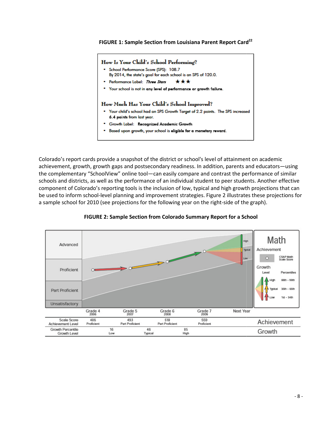#### FIGURE 1: Sample Section from Louisiana Parent Report Card<sup>22</sup>

#### How Is Your Child's School Performing?

- School Performance Score (SPS): 108.7
- By 2014, the state's goal for each school is an SPS of 120.0.
- . Performance Label: Three Stars \*\*\*
- Your school is not in any level of performance or growth failure.

#### How Much Has Your Child's School Improved?

- . Your child's school had an SPS Growth Target of 2.2 points. The SPS increased 6.4 points from last year.
- \* Growth Label: Recognized Academic Growth
- Based upon growth, your school is eligible for a monetary reward.

Colorado's report cards provide a snapshot of the district or school's level of attainment on academic<br>achievement, growth, growth gaps and postsecondary readiness. In addition, parents and educators– achievement, growth, growth gaps and postsecondary readiness. parents and educators—using the complementary "SchoolView" online tool—can easily compare and contrast the performance of similar schools and districts, as well as the performance of an individual student to peer students. Another effective component of Colorado's reporting tools is the inclusion of low, typical and high growth projections be used to inform school-level planning and improvement strategies. Figure 2 illustrates these projections for<br>a sample school for 2010 (see projections for the following year on the right-side of the graph). a sample school for 2010 (see projections for the following year on the right-side of the can easily compare and contrast the performance of similar<br>e of an individual student to peer students. Another effective<br>inclusion of low, typical and high growth projections that can



#### FIGURE 2: Sample Section from Colorado Summary Report for a School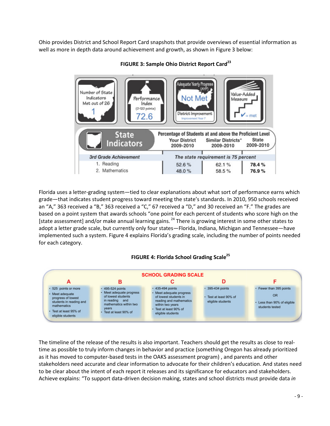Ohio provides District and School Report Card snapshots that provide overviews of essential information as Ohio provides District and School Report Card snapshots that provide overviews of essen<br>well as more in depth data around achievement and growth, as shown in Figure 3 below:



FIGURE 3: Sample Ohio District Report Card<sup>23</sup>

Florida uses a letter-grading system-tied to clear explanations about what sort of performance earns which grade—that indicates student progress toward meeting the state's standards. In 2010, 950 schools received an "A," 363 received a "B," 363 received a "C," 67 received a "D," and 30 received an "F." The grades are based on a point system that awards schools "one point for each percent of students who score high on the [state assessment] and/or make annual learning gains. <sup>24</sup> There is growing interest in some other states to<br>adopt a letter grade scale, but currently only four states—Florida, Indiana, Michigan and Tennessee—have adopt a letter grade scale, but currently only four states—Florida, Indiana, Michigan and Tennessee implemented such a system. Figure 4 explains Florida's grading scale, including the number of points needed for each category. rida uses a letter-grading system—tied to clear explanations about what sort of performance earns which<br>de—that indicates student progress toward meeting the state's standards. In 2010, 950 schools received<br>"A," 363 receiv





The timeline of the release of the results is also important. Teachers should get the results as close to real time as possible to truly inform changes in behavior and practice (something Oregon has already prioritized as it has moved to computer-based tests in the OAKS assessment program), and parents and other time as possible to truly inform changes in behavior and practice (something Oregon has already prioritized<br>as it has moved to computer-based tests in the OAKS assessment program) , and parents and other<br>stakeholders need to be clear about the intent of each report it releases and its significance for educators and stakeholders. stakeholders need accurate and clear information to advocate for their children's education. And states nee<br>to be clear about the intent of each report it releases and its significance for educators and stakeholders.<br>Achie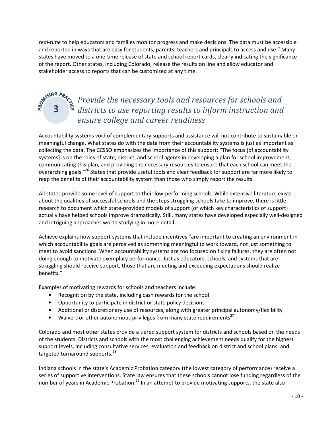real-time to help educators and families monitor progress and make decisions. The data must be accessible and reported in ways that are easy for students, parents, teachers and principals to access and use." Many states have moved to a one-time release of state and school report cards, clearly indicating the significance of the report. Other states, including Colorado, release the results on line and allow educator and stakeholder access to reports that can be customized at any time.

### Provide the necessary tools and resources for schools and districts to use reporting results to inform instruction and ensure college and career readiness

Accountability systems void of complementary supports and assistance will not contribute to sustainable or meaningful change. What states do with the data from their accountability systems is just as important as collecting the data. The CCSSO emphasizes the importance of this support: "The focus [of accountability systems] is on the roles of state, district, and school agents in developing a plan for school improvement, communicating this plan, and providing the necessary resources to ensure that each school can meet the overarching goals."<sup>26</sup> States that provide useful tools and clear feedback for support are far more likely to reap the benefits of their accountability system than those who simply report the results.

All states provide some level of support to their low-performing schools. While extensive literature exists about the qualities of successful schools and the steps struggling schools take to improve, there is little research to document which state-provided models of support (or which key characteristics of support) actually have helped schools improve dramatically. Still, many states have developed especially well-designed and intriguing approaches worth studying in more detail.

Achieve explains how support systems that include incentives "are important to creating an environment in which accountability goals are perceived as something meaningful to work toward, not just something to meet to avoid sanctions. When accountability systems are too focused on fixing failures, they are often not doing enough to motivate exemplary performance. Just as educators, schools, and systems that are struggling should receive support, those that are meeting and exceeding expectations should realize benefits."

Examples of motivating rewards for schools and teachers include:

3

- Recognition by the state, including cash rewards for the school
- Opportunity to participate in district or state policy decisions
- Additional or discretionary use of resources, along with greater principal autonomy/flexibility
- Waivers or other autonomous privileges from many state requirements<sup>27</sup>

Colorado and most other states provide a tiered support system for districts and schools based on the needs of the students. Districts and schools with the most challenging achievement needs qualify for the highest support levels, including consultative services, evaluation and feedback on district and school plans, and targeted turnaround supports.<sup>28</sup>

Indiana schools in the state's Academic Probation category (the lowest category of performance) receive a series of supportive interventions. State law ensures that these schools cannot lose funding regardless of the number of years in Academic Probation.<sup>29</sup> In an attempt to provide motivating supports, the state also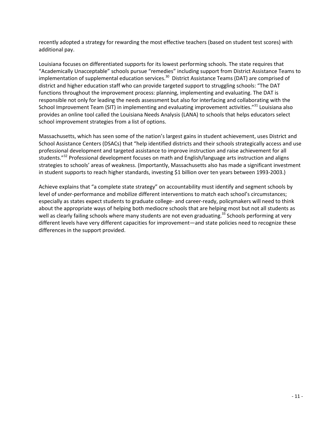recently adopted a strategy for rewarding the most effective teachers (based on student test scores) with additional pay.

Louisiana focuses on differentiated supports for its lowest performing schools. The state requires that "Academically Unacceptable" schools pursue "remedies" including support from District Assistance Teams to implementation of supplemental education services.<sup>30</sup> District Assistance Teams (DAT) are comprised of district and higher education staff who can provide targeted support to struggling schools: "The DAT functions throughout the improvement process: planning, implementing and evaluating. The DAT is responsible not only for leading the needs assessment but also for interfacing and collaborating with the School Improvement Team (SIT) in implementing and evaluating improvement activities."<sup>31</sup> Louisiana also provides an online tool called the Louisiana Needs Analysis (LANA) to schools that helps educators select school improvement strategies from a list of options.

Massachusetts, which has seen some of the nation's largest gains in student achievement, uses District and School Assistance Centers (DSACs) that "help identified districts and their schools strategically access and use professional development and targeted assistance to improve instruction and raise achievement for all students."<sup>32</sup> Professional development focuses on math and English/language arts instruction and aligns strategies to schools' areas of weakness. (Importantly, Massachusetts also has made a significant investment in student supports to reach higher standards, investing \$1 billion over ten years between 1993-2003.)

Achieve explains that "a complete state strategy" on accountability must identify and segment schools by level of under-performance and mobilize different interventions to match each school's circumstances; especially as states expect students to graduate college- and career-ready, policymakers will need to think about the appropriate ways of helping both mediocre schools that are helping most but not all students as well as clearly failing schools where many students are not even graduating.<sup>33</sup> Schools performing at very different levels have very different capacities for improvement—and state policies need to recognize these differences in the support provided.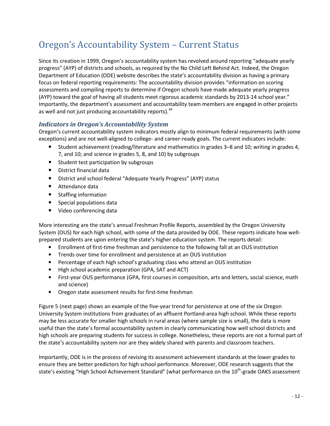## Oregon's Accountability System – Current Status

Since its creation in 1999, Oregon's accountability system has revolved around reporting "adequate yearly progress" (AYP) of districts and schools, as required by the No Child Left Behind Act. Indeed, the Oregon Department of Education (ODE) website describes the state's accountability division as having a primary focus on federal reporting requirements: The accountability division provides "information on scoring assessments and compiling reports to determine if Oregon schools have made adequate yearly progress (AYP) toward the goal of having all students meet rigorous academic standards by 2013-14 school year." Importantly, the department's assessment and accountability team members are engaged in other projects as well and not just producing accountability reports). $34$ 

### Indicators in Oregon's Accountability System

Oregon's current accountability system indicators mostly align to minimum federal requirements (with some exceptions) and are not well-aligned to college- and career-ready goals. The current indicators include:

- Student achievement (reading/literature and mathematics in grades 3–8 and 10; writing in grades 4, 7, and 10; and science in grades 5, 8, and 10) by subgroups
- Student test participation by subgroups
- District financial data
- District and school federal "Adequate Yearly Progress" (AYP) status
- Attendance data
- Staffing information
- Special populations data
- Video conferencing data

More interesting are the state's annual Freshman Profile Reports, assembled by the Oregon University System (OUS) for each high school, with some of the data provided by ODE. These reports indicate how wellprepared students are upon entering the state's higher education system. The reports detail:

- Enrollment of first-time freshman and persistence to the following fall at an OUS institution
- Trends over time for enrollment and persistence at an OUS institution
- Percentage of each high school's graduating class who attend an OUS institution
- High school academic preparation (GPA, SAT and ACT)
- First-year OUS performance (GPA, first courses in composition, arts and letters, social science, math and science)
- Oregon state assessment results for first-time freshman

Figure 5 (next page) shows an example of the five-year trend for persistence at one of the six Oregon University System institutions from graduates of an affluent Portland-area high school. While these reports may be less accurate for smaller high schools in rural areas (where sample size is small), the data is more useful than the state's formal accountability system in clearly communicating how well school districts and high schools are preparing students for success in college. Nonetheless, these reports are not a formal part of the state's accountability system nor are they widely shared with parents and classroom teachers.

Importantly, ODE is in the process of revising its assessment achievement standards at the lower grades to ensure they are better predictors for high school performance. Moreover, ODE research suggests that the state's existing "High School Achievement Standard" (what performance on the 10<sup>th</sup>-grade OAKS assessment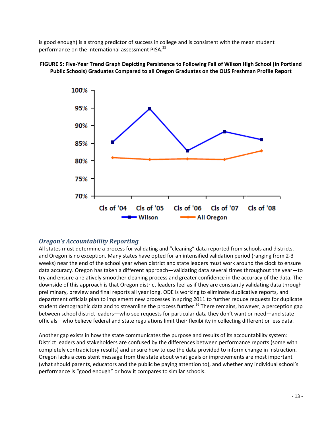is good enough) is a strong predictor of success in college and is consistent with the mean student is good enough) is a strong predictor of success in col<br>performance on the international assessment PISA.<sup>35</sup>



FIGURE 5: Five-Year Trend Graph Depicting Persistence to Following Fall of Wilson High School (in Portland<br>Public Schools) Graduates Compared to all Oregon Graduates on the OUS Freshman Profile Report Public Schools) Graduates Compared to all Oregon Graduates on the OUS Freshman Profile Report

### Oregon's Accountability Reporting

All states must determine a process for validating and "cleaning" data reported from schools and districts, All states must determine a process for validating and "cleaning" data reported from schools and districts,<br>and Oregon is no exception. Many states have opted for an intensified validation period (ranging from 2-3 weeks) near the end of the school year when district and state leaders must work around the clock to ensure<br>data accuracy. Oregon has taken a different approach—validating data several times throughout the year—to data accuracy. Oregon has taken a different approach—validating data several times throughout the year try and ensure a relatively smoother cleaning process and greater confidence in the accuracy of the data. The downside of this approach is that Oregon district leaders feel as if they are constantly validating data through preliminary, preview and final reports all year long. ODE is working to eliminate duplicative reports, and department officials plan to implement new processes in spring 2011 to further reduce requests for duplicate student demographic data and to streamline the process further.<sup>36</sup> There remains, however, a perception gap between school district leaders—who see requests for particular data they don't want or need officials-who believe federal and state regulations limit their flexibility in collecting different or less data. s in spring 2011 to further reduce requests for duplic:<br>ess further.<sup>36</sup> There remains, however, a perception g<br>r particular data they don't want or need—and state

Another gap exists in how the state communicates the purpose and results of its accountability system: District leaders and stakeholders are confused by the differences between performance reports (some with completely contradictory results) and unsure how to use the data provided to inform change in instruction. completely contradictory results) and unsure how to use the data provided to inform change in instructior<br>Oregon lacks a consistent message from the state about what goals or improvements are most important (what should parents, educators and the public be paying attention to), and whether any individual school's performance is "good enough" or how it compares to similar schools.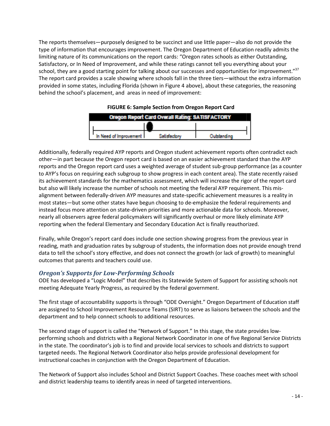The reports themselves—purposely designed to be succinct and use little paper—also do not provide the type of information that encourages improvement. The Oregon Department of Education readily admits the limiting nature of its communications on the report cards: "Oregon rates schools as either Outstanding, Satisfactory, or In Need of Improvement, and while these ratings cannot tell you everything about your limiting nature of its communications on the report cards: "Oregon rates schools as either Outstanding,<br>Satisfactory, or In Need of Improvement, and while these ratings cannot tell you everything about your<br>school, they ar Satisfactory, or In Need of Improvement, and while these ratings cannot tell you everything about your<br>school, they are a good starting point for talking about our successes and opportunities for improvement."<sup>37</sup><br>The repo provided in some states, including Florida (shown in Figure 4 above), about these categories, the reasoning behind the school's placement, and areas in need of improvement:

| <b>Oregon Report Card Overall Rating: SATISFACTORY</b> |  |  |  |  |  |
|--------------------------------------------------------|--|--|--|--|--|
|                                                        |  |  |  |  |  |
| In Need of Improvement L                               |  |  |  |  |  |

#### FIGURE FIGURE 6: Sample Section from Oregon Report Card

Additionally, federally required AYP reports and Oregon student achievement reports often contradict each other—in part because the Oregon report card is based on an easier achievement standard than the AYP reports and the Oregon report card uses a weighted average of student sub-group performance (as a counter to AYP's focus on requiring each subgroup to show progress in each content area). The state recently raised its achievement standards for the mathematics assessment, which will increase the rigor of the report card but also will likely increase the number of schools not meeting the federal AYP requirement. This misalignment between federally-driven AYP measures and state-specific achievement measures is a reality in most states—but some other states have begun choosing to de-emphasize the federal requirements and instead focus more attention on state-driven priorities and more actionable data for schools. Moreover, nearly all observers agree federal policymakers will significantly overhaul or more likely eliminate AYP reporting when the federal Elementary and Secondary Education Act is finally reauthorized. nearly all observers agree federal policymakers will significantly overhaul or more likely eliminate AYP<br>reporting when the federal Elementary and Secondary Education Act is finally reauthorized.<br>Finally, while Oregon's re hree tiers—without the extra information<br>
, about these categories, the reasoning<br>
.<br> **n Report Card<br>
INSTAPLORY**<br> **Outstanding**<br>
hievement reports often contradict each<br>
r achievement standard than the AYP<br>
dent sub-group by states—but some other states have begun choosing to de-emphasize the federal requirements and<br>tead focus more attention on state-driven priorities and more actionable data for schools. Moreover,<br>arly all observers agree

reading, math and graduation rates by subgroup of students, the information does not provide enough trend data to tell the school's story effective, and does not connect the growth (or lack of growth) to meaningfu outcomes that parents and teachers could use.

#### Oregon's Supports for Low-Performing Schools Performing

ODE has developed a "Logic Model" that describes its Statewide System of Support for assisting schools not meeting Adequate Yearly Progress, as required by the federal government.

The first stage of accountability supports is through "ODE Oversight." Oregon Department of Education staff are assigned to School Improvement Resource Teams (SIRT) to serve as liaisons between the schools and the are assigned to School Improvement Resource Teams (SIRT) to se<br>department and to help connect schools to additional resources. The first stage of accountability supports is through "ODE Oversight." Oregon Department of Educati<br>are assigned to School Improvement Resource Teams (SIRT) to serve as liaisons between the schools<br>department and to help c

performing schools and districts with a Regional Network Coordinator in one of five Regional Service Districts in the state. The coordinator's job is to find and provide local services to schools a<br>targeted needs. The Regional Network Coordinator also helps provide professiona<br>instructional coaches in conjunction with the Oregon De targeted needs. The Regional Network Coordinator also helps provide professional development for<br>instructional coaches in conjunction with the Oregon Department of Education. instructional coaches in conjunction with the Oregon Department of Education. second stage of support is called the "Network of Support." In this stage, the state provides low-<br>orming schools and districts with a Regional Network Coordinator in one of five Regional Service Dist<br>le state. The coordin

The Network of Support also includes School and District Support Coaches. These coaches meet with school and district leadership teams to identify areas in need of targeted interventions.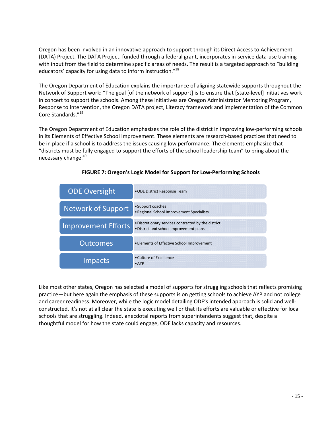Oregon has been involved in an innovative approach to support through its Direct Access to Achievement<br>(DATA) Project. The DATA Project, funded through a federal grant, incorporates in-service data-use training (DATA) Project. The DATA Project, funded through a federal grant, incorporates in Project, incorporates in-service data with input from the field to determine specific areas of needs. The result is a targeted approach to "building educators' capacity for using data to inform instruction."<sup>38</sup>

The Oregon Department of Education explains the importance of aligning statewide supports throughout the Network of Support work: "The goal [of the network of support] is to ensure that [state in concert to support the schools. Among these initiatives are Oregon Administrator Mentoring Program, Response to Intervention, the Oregon DATA project, Literacy framework and implementation of the Co Core Standards."<sup>39</sup> in concert to support the schools. Among these initiatives are Oregon Administrator Mentoring Program,<br>Response to Intervention, the Oregon DATA project, Literacy framework and implementation of the Commo<br>Core Standards."<sup></sup> ds. The result is a targeted approach to "building<br>nce of aligning statewide supports throughout the<br>port] is to ensure that [state-level] initiatives work Common

The Oregon Department of Education emphasizes the role of the district in improving low-performing schools in its Elements of Effective School Improvement. These elements are research-based practices that<br>be in place if a school is to address the issues causing low performance. The elements emphasize be in place if a school is to address the issues causing low performance. The elements emphasize that "districts must be fully engaged to support the efforts of the school leadership team" to bring about the necessary change.<sup>40</sup>



#### FIGURE 7: Oregon's Logic Model for Support for Low-Performing Schools

Like most other states, Oregon has selected a model of supports for struggling schools that reflects promising practice—but here again the emphasis of these supports is on getting schools to achieve AYP and not college practice—but here again the emphasis of these supports is on getting schools to achieve AYP and not colleg<br>and career readiness. Moreover, while the logic model detailing ODE's intended approach is solid and wellconstructed, it's not at all clear the state is executing well or that its efforts are valuable or effective for local schools that are struggling. Indeed, anecdotal reports from superintendents suggest that, despite a thoughtful model for how the state could engage, ODE lacks capacity and resources.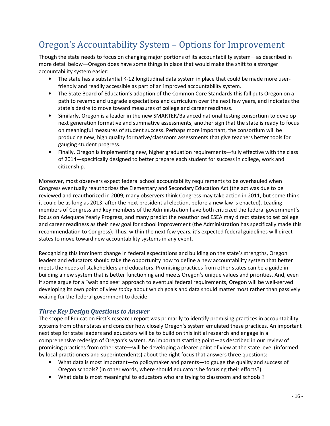## Oregon's Accountability System – Options for Improvement

Though the state needs to focus on changing major portions of its accountability system—as described in more detail below—Oregon does have some things in place that would make the shift to a stronger accountability system easier:

- The state has a substantial K-12 longitudinal data system in place that could be made more userfriendly and readily accessible as part of an improved accountability system.
- The State Board of Education's adoption of the Common Core Standards this fall puts Oregon on a path to revamp and upgrade expectations and curriculum over the next few years, and indicates the state's desire to move toward measures of college and career readiness.
- Similarly, Oregon is a leader in the new SMARTER/Balanced national testing consortium to develop next generation formative and summative assessments, another sign that the state is ready to focus on meaningful measures of student success. Perhaps more important, the consortium will be producing new, high quality formative/classroom assessments that give teachers better tools for gauging student progress.
- Finally, Oregon is implementing new, higher graduation requirements—fully effective with the class of 2014—specifically designed to better prepare each student for success in college, work and citizenship.

Moreover, most observers expect federal school accountability requirements to be overhauled when Congress eventually reauthorizes the Elementary and Secondary Education Act (the act was due to be reviewed and reauthorized in 2009; many observers think Congress may take action in 2011, but some think it could be as long as 2013, after the next presidential election, before a new law is enacted). Leading members of Congress and key members of the Administration have both criticized the federal government's focus on Adequate Yearly Progress, and many predict the reauthorized ESEA may direct states to set college and career readiness as their new goal for school improvement (the Administration has specifically made this recommendation to Congress). Thus, within the next few years, it's expected federal guidelines will direct states to move toward new accountability systems in any event.

Recognizing this imminent change in federal expectations and building on the state's strengths, Oregon leaders and educators should take the opportunity now to define a new accountability system that better meets the needs of stakeholders and educators. Promising practices from other states can be a guide in building a new system that is better functioning and meets Oregon's unique values and priorities. And, even if some argue for a "wait and see" approach to eventual federal requirements, Oregon will be well-served developing its own point of view today about which goals and data should matter most rather than passively waiting for the federal government to decide.

#### Three Key Design Questions to Answer

The scope of Education First's research report was primarily to identify promising practices in accountability systems from other states and consider how closely Oregon's system emulated these practices. An important next step for state leaders and educators will be to build on this initial research and engage in a comprehensive redesign of Oregon's system. An important starting point—as described in our review of promising practices from other state—will be developing a clearer point of view at the state level (informed by local practitioners and superintendents) about the right focus that answers three questions:

- What data is most important—to policymaker and parents—to gauge the quality and success of Oregon schools? (In other words, where should educators be focusing their efforts?)
- What data is most meaningful to educators who are trying to classroom and schools ?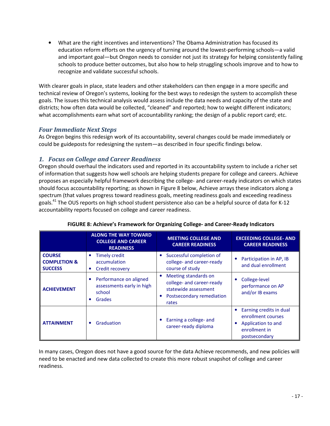• What are the right incentives and interventions? The Obama Administration has focused its education reform efforts on the urgency of turning around the lowest-performing schools—a valid and important goal—but Oregon needs to consider not just its strategy for helping consistently failing schools to produce better outcomes, but also how to help struggling schools improve and to how to recognize and validate successful schools.

With clearer goals in place, state leaders and other stakeholders can then engage in a more specific and technical review of Oregon's systems, looking for the best ways to redesign the system to accomplish these goals. The issues this technical analysis would assess include the data needs and capacity of the state and districts; how often data would be collected, "cleaned" and reported; how to weight different indicators; what accomplishments earn what sort of accountability ranking; the design of a public report card; etc.

#### Four Immediate Next Steps

As Oregon begins this redesign work of its accountability, several changes could be made immediately or could be guideposts for redesigning the system—as described in four specific findings below.

#### 1. Focus on College and Career Readiness

Oregon should overhaul the indicators used and reported in its accountability system to include a richer set of information that suggests how well schools are helping students prepare for college and careers. Achieve proposes an especially helpful framework describing the college- and career-ready indicators on which states should focus accountability reporting; as shown in Figure 8 below, Achieve arrays these indicators along a spectrum (that values progress toward readiness goals, meeting readiness goals and exceeding readiness goals.<sup>41</sup> The OUS reports on high school student persistence also can be a helpful source of data for K-12 accountability reports focused on college and career readiness.

|                                                            | <b>ALONG THE WAY TOWARD</b><br><b>COLLEGE AND CAREER</b><br><b>READINESS</b>      | <b>MEETING COLLEGE AND</b><br><b>CAREER READINESS</b>                                                           | <b>EXCEEDING COLLEGE- AND</b><br><b>CAREER READINESS</b>                                                   |
|------------------------------------------------------------|-----------------------------------------------------------------------------------|-----------------------------------------------------------------------------------------------------------------|------------------------------------------------------------------------------------------------------------|
| <b>COURSE</b><br><b>COMPLETION &amp;</b><br><b>SUCCESS</b> | <b>Timely credit</b><br>٠<br>accumulation<br>Credit recovery<br>$\bullet$         | Successful completion of<br>college- and career-ready<br>course of study                                        | Participation in AP, IB<br>٠<br>and dual enrollment                                                        |
| <b>ACHIEVEMENT</b>                                         | Performance on aligned<br>٠<br>assessments early in high<br>school<br>Grades<br>٠ | Meeting standards on<br>college- and career-ready<br>statewide assessment<br>Postsecondary remediation<br>rates | College-level<br>٠<br>performance on AP<br>and/or IB exams                                                 |
| <b>ATTAINMENT</b>                                          | Graduation<br>٠                                                                   | Earning a college- and<br>career-ready diploma                                                                  | Earning credits in dual<br>enrollment courses<br>Application to and<br>٠<br>enrollment in<br>postsecondary |

#### FIGURE 8: Achieve's Framework for Organizing College- and Career-Ready Indicators

In many cases, Oregon does not have a good source for the data Achieve recommends, and new policies will need to be enacted and new data collected to create this more robust snapshot of college and career readiness.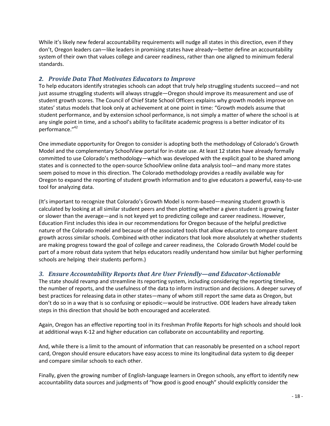While it's likely new federal accountability requirements will nudge all states in this direction, even if they don't, Oregon leaders can—like leaders in promising states have already—better define an accountability system of their own that values college and career readiness, rather than one aligned to minimum federal standards.

### 2. Provide Data That Motivates Educators to Improve

To help educators identify strategies schools can adopt that truly help struggling students succeed—and not just assume struggling students will always struggle—Oregon should improve its measurement and use of student growth scores. The Council of Chief State School Officers explains why growth models improve on states' status models that look only at achievement at one point in time: "Growth models assume that student performance, and by extension school performance, is not simply a matter of where the school is at any single point in time, and a school's ability to facilitate academic progress is a better indicator of its performance."<sup>42</sup>

One immediate opportunity for Oregon to consider is adopting both the methodology of Colorado's Growth Model and the complementary SchoolView portal for in-state use. At least 12 states have already formally committed to use Colorado's methodology—which was developed with the explicit goal to be shared among states and is connected to the open-source SchoolView online data analysis tool—and many more states seem poised to move in this direction. The Colorado methodology provides a readily available way for Oregon to expand the reporting of student growth information and to give educators a powerful, easy-to-use tool for analyzing data.

(It's important to recognize that Colorado's Growth Model is norm-based—meaning student growth is calculated by looking at all similar student peers and then plotting whether a given student is growing faster or slower than the average—and is not keyed yet to predicting college and career readiness. However, Education First includes this idea in our recommendations for Oregon because of the helpful predictive nature of the Colorado model and because of the associated tools that allow educators to compare student growth across similar schools. Combined with other indicators that look more absolutely at whether students are making progress toward the goal of college and career readiness, the Colorado Growth Model could be part of a more robust data system that helps educators readily understand how similar but higher performing schools are helping their students perform.)

### 3. Ensure Accountability Reports that Are User Friendly—and Educator-Actionable

The state should revamp and streamline its reporting system, including considering the reporting timeline, the number of reports, and the usefulness of the data to inform instruction and decisions. A deeper survey of best practices for releasing data in other states—many of whom still report the same data as Oregon, but don't do so in a way that is so confusing or episodic—would be instructive. ODE leaders have already taken steps in this direction that should be both encouraged and accelerated.

Again, Oregon has an effective reporting tool in its Freshman Profile Reports for high schools and should look at additional ways K-12 and higher education can collaborate on accountability and reporting.

And, while there is a limit to the amount of information that can reasonably be presented on a school report card, Oregon should ensure educators have easy access to mine its longitudinal data system to dig deeper and compare similar schools to each other.

Finally, given the growing number of English-language learners in Oregon schools, any effort to identify new accountability data sources and judgments of "how good is good enough" should explicitly consider the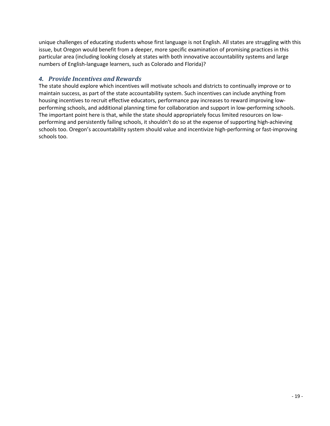unique challenges of educating students whose first language is not English. All states are struggling with this issue, but Oregon would benefit from a deeper, more specific examination of promising practices in this particular area (including looking closely at states with both innovative accountability systems and large numbers of English-language learners, such as Colorado and Florida)?

### 4. Provide Incentives and Rewards

The state should explore which incentives will motivate schools and districts to continually improve or to maintain success, as part of the state accountability system. Such incentives can include anything from housing incentives to recruit effective educators, performance pay increases to reward improving lowperforming schools, and additional planning time for collaboration and support in low-performing schools. The important point here is that, while the state should appropriately focus limited resources on lowperforming and persistently failing schools, it shouldn't do so at the expense of supporting high-achieving schools too. Oregon's accountability system should value and incentivize high-performing or fast-improving schools too.